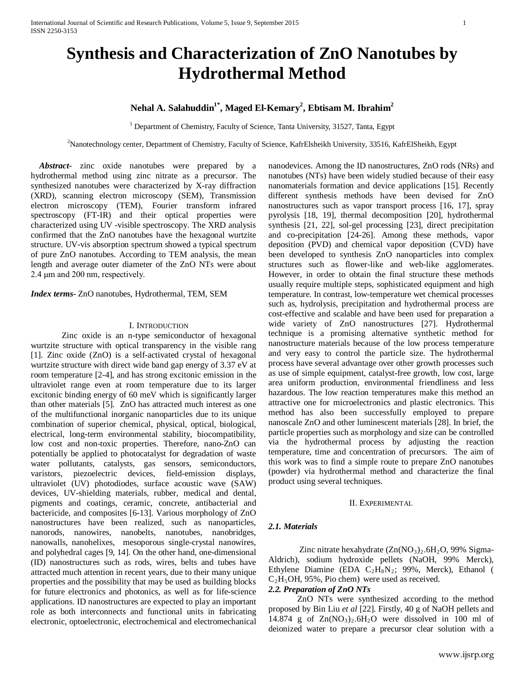# **Synthesis and Characterization of ZnO Nanotubes by Hydrothermal Method**

# **Nehal A. Salahuddin1\*, Maged El-Kemary2 , Ebtisam M. Ibrahim2**

<sup>1</sup> Department of Chemistry, Faculty of Science, Tanta University, 31527, Tanta, Egypt

*P* 2 *<sup>P</sup>*Nanotechnology center, Department of Chemistry, Faculty of Science, KafrElsheikh University, 33516, KafrElSheikh, Egypt

 *Abstract***-** zinc oxide nanotubes were prepared by a hydrothermal method using zinc nitrate as a precursor. The synthesized nanotubes were characterized by X-ray diffraction (XRD), scanning electron microscopy (SEM), Transmission electron microscopy (TEM), Fourier transform infrared spectroscopy (FT-IR) and their optical properties were characterized using UV -visible spectroscopy. The XRD analysis confirmed that the ZnO nanotubes have the hexagonal wurtzite structure. UV-vis absorption spectrum showed a typical spectrum of pure ZnO nanotubes. According to TEM analysis, the mean length and average outer diameter of the ZnO NTs were about 2.4 μm and 200 nm, respectively.

*Index terms-* ZnO nanotubes, Hydrothermal, TEM, SEM

#### I. INTRODUCTION

Zinc oxide is an n-type semiconductor of hexagonal wurtzite structure with optical transparency in the visible rang [1]. Zinc oxide (ZnO) is a self-activated crystal of hexagonal wurtzite structure with direct wide band gap energy of 3.37 eV at room temperature [2-4], and has strong excitonic emission in the ultraviolet range even at room temperature due to its larger excitonic binding energy of 60 meV which is significantly larger than other materials [5]. ZnO has attracted much interest as one of the multifunctional inorganic nanoparticles due to its unique combination of superior chemical, physical, optical, biological, electrical, long-term environmental stability, biocompatibility, low cost and non-toxic properties. Therefore, nano-ZnO can potentially be applied to photocatalyst for degradation of waste water pollutants, catalysts, gas sensors, semiconductors, varistors, piezoelectric devices, field-emission displays, ultraviolet (UV) photodiodes, surface acoustic wave (SAW) devices, UV-shielding materials, rubber, medical and dental, pigments and coatings, ceramic, concrete, antibacterial and bactericide, and composites [6-13]. Various morphology of ZnO nanostructures have been realized, such as nanoparticles, nanorods, nanowires, nanobelts, nanotubes, nanobridges, nanowalls, nanohelixes, mesoporous single-crystal nanowires, and polyhedral cages [9, 14]. On the other hand, one-dimensional (ID) nanostructures such as rods, wires, belts and tubes have attracted much attention in recent years, due to their many unique properties and the possibility that may be used as building blocks for future electronics and photonics, as well as for life-science applications. ID nanostructures are expected to play an important role as both interconnects and functional units in fabricating electronic, optoelectronic, electrochemical and electromechanical nanodevices. Among the ID nanostructures, ZnO rods (NRs) and nanotubes (NTs) have been widely studied because of their easy nanomaterials formation and device applications [15]. Recently different synthesis methods have been devised for ZnO nanostructures such as vapor transport process [16, 17], spray pyrolysis [18, 19], thermal decomposition [20], hydrothermal synthesis [21, 22], sol-gel processing [23], direct precipitation and co-precipitation [24-26]. Among these methods, vapor deposition (PVD) and chemical vapor deposition (CVD) have been developed to synthesis ZnO nanoparticles into complex structures such as flower-like and web-like agglomerates. However, in order to obtain the final structure these methods usually require multiple steps, sophisticated equipment and high temperature. In contrast, low-temperature wet chemical processes such as, hydrolysis, precipitation and hydrothermal process are cost-effective and scalable and have been used for preparation a wide variety of ZnO nanostructures [27]. Hydrothermal technique is a promising alternative synthetic method for nanostructure materials because of the low process temperature and very easy to control the particle size. The hydrothermal process have several advantage over other growth processes such as use of simple equipment, catalyst-free growth, low cost, large area uniform production, environmental friendliness and less hazardous. The low reaction temperatures make this method an attractive one for microelectronics and plastic electronics. This method has also been successfully employed to prepare nanoscale ZnO and other luminescent materials [28]. In brief, the particle properties such as morphology and size can be controlled via the hydrothermal process by adjusting the reaction temperature, time and concentration of precursors. The aim of this work was to find a simple route to prepare ZnO nanotubes (powder) via hydrothermal method and characterize the final product using several techniques.

#### II. EXPERIMENTAL

#### *2.1. Materials*

Zinc nitrate hexahydrate  $(Zn(NO<sub>3</sub>)<sub>2</sub>$ .6H<sub>2</sub>O, 99% Sigma-Aldrich), sodium hydroxide pellets (NaOH, 99% Merck), Ethylene Diamine (EDA C<sub>2</sub>H<sub>8</sub>N<sub>2</sub>; 99%, Merck), Ethanol ( C<sub>2</sub>H<sub>5</sub>OH, 95%, Pio chem) were used as received.

# *2.2. Preparation of ZnO NTs*

ZnO NTs were synthesized according to the method proposed by Bin Liu *et al* [22]. Firstly, 40 g of NaOH pellets and 14.874 g of  $Zn(NO<sub>3</sub>)<sub>2</sub>$ .6H<sub>2</sub>O were dissolved in 100 ml of deionized water to prepare a precursor clear solution with a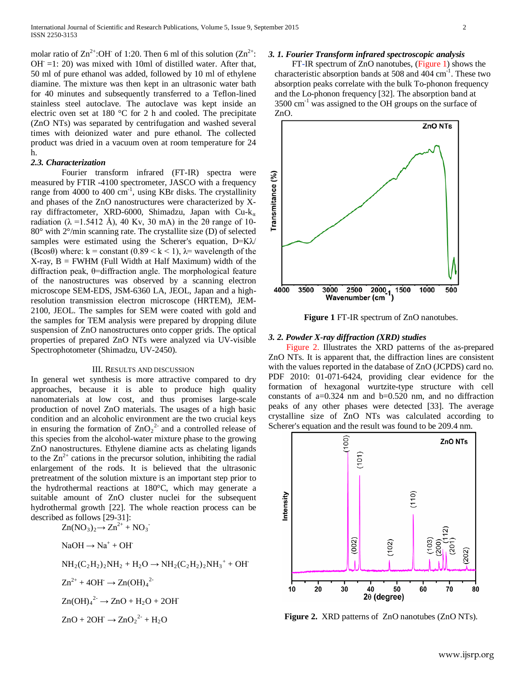molar ratio of  $\text{Zn}^{2+}$ :OH of 1:20. Then 6 ml of this solution ( $\text{Zn}^{2+}$ :  $OH = 1: 20$ ) was mixed with 10ml of distilled water. After that, 50 ml of pure ethanol was added, followed by 10 ml of ethylene diamine. The mixture was then kept in an ultrasonic water bath for 40 minutes and subsequently transferred to a Teflon-lined stainless steel autoclave. The autoclave was kept inside an electric oven set at 180 °C for 2 h and cooled. The precipitate (ZnO NTs) was separated by centrifugation and washed several times with deionized water and pure ethanol. The collected product was dried in a vacuum oven at room temperature for 24 h.

#### *2.3. Characterization*

Fourier transform infrared (FT-IR) spectra were measured by FTIR -4100 spectrometer, JASCO with a frequency range from  $4000$  to  $400 \text{ cm}^{-1}$ , using KBr disks. The crystallinity and phases of the ZnO nanostructures were characterized by Xray diffractometer, XRD-6000, Shimadzu, Japan with Cu-k<sub>a</sub> radiation ( $\lambda$  =1.5412 Å), 40 Kv, 30 mA) in the 20 range of 10-80° with 2°/min scanning rate. The crystallite size (D) of selected samples were estimated using the Scherer's equation, D=K $\lambda$ / (Bcos $\theta$ ) where: k = constant (0.89 < k < 1),  $\lambda$ = wavelength of the  $X-ray$ ,  $B = FWHM$  (Full Width at Half Maximum) width of the diffraction peak, θ=diffraction angle. The morphological feature of the nanostructures was observed by a scanning electron microscope SEM-EDS, JSM-6360 LA, JEOL, Japan and a highresolution transmission electron microscope (HRTEM), JEM-2100, JEOL. The samples for SEM were coated with gold and the samples for TEM analysis were prepared by dropping dilute suspension of ZnO nanostructures onto copper grids. The optical properties of prepared ZnO NTs were analyzed via UV-visible Spectrophotometer (Shimadzu, UV-2450).

# III. RESULTS AND DISCUSSION

In general wet synthesis is more attractive compared to dry approaches, because it is able to produce high quality nanomaterials at low cost, and thus promises large-scale production of novel ZnO materials. The usages of a high basic condition and an alcoholic environment are the two crucial keys in ensuring the formation of  $ZnO_2^2$  and a controlled release of this species from the alcohol-water mixture phase to the growing ZnO nanostructures. Ethylene diamine acts as chelating ligands to the  $\text{Zn}^{2+}$  cations in the precursor solution, inhibiting the radial enlargement of the rods. It is believed that the ultrasonic pretreatment of the solution mixture is an important step prior to the hydrothermal reactions at 180°C, which may generate a suitable amount of ZnO cluster nuclei for the subsequent hydrothermal growth [22]. The whole reaction process can be described as follows [29-31]:<br> $Z_n(MQ) \rightarrow Z_n^{2+}$  $Z_n^{2+}$  NO -

$$
\text{Ln}(\text{NO}_3)_2 \to \text{Ln}^+ + \text{NO}_3
$$
\n
$$
\text{NaOH} \to \text{Na}^+ + \text{OH}^+
$$
\n
$$
\text{NH}_2(\text{C}_2\text{H}_2)_2\text{NH}_2 + \text{H}_2\text{O} \to \text{NH}_2(\text{C}_2\text{H}_2)_2\text{NH}_3^+ + \text{OH}^+
$$
\n
$$
\text{Zn}^{2+} + 4\text{OH} \to \text{Zn}(\text{OH})_4^{2-}
$$
\n
$$
\text{Zn}(\text{OH})_4^{2-} \to \text{ZnO} + \text{H}_2\text{O} + 2\text{OH}^+
$$
\n
$$
\text{ZnO} + 2\text{OH} \to \text{ZnO}_2^{2-} + \text{H}_2\text{O}
$$

## *3. 1. Fourier Transform infrared spectroscopic analysis*

 FT-IR spectrum of ZnO nanotubes, (Figure 1) shows the characteristic absorption bands at 508 and  $404 \text{ cm}^{-1}$ . These two absorption peaks correlate with the bulk To-phonon frequency and the Lo-phonon frequency [32]. The absorption band at  $3500 \text{ cm}^{-1}$  was assigned to the OH groups on the surface of ZnO.



**Figure 1** FT-IR spectrum of ZnO nanotubes.

# *3. 2. Powder X-ray diffraction (XRD) studies*

 Figure 2. Illustrates the XRD patterns of the as-prepared ZnO NTs. It is apparent that, the diffraction lines are consistent with the values reported in the database of ZnO (JCPDS) card no. PDF 2010: 01-071-6424, providing clear evidence for the formation of hexagonal wurtzite-type structure with cell constants of  $a=0.324$  nm and  $b=0.520$  nm, and no diffraction peaks of any other phases were detected [33]. The average crystalline size of ZnO NTs was calculated according to Scherer's equation and the result was found to be 209.4 nm.



**Figure 2.** XRD patterns of ZnO nanotubes (ZnO NTs).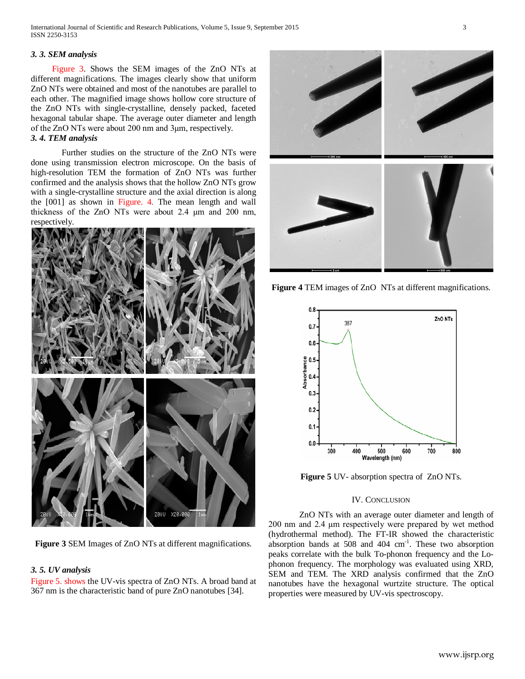# *3. 3. SEM analysis*

 Figure 3. Shows the SEM images of the ZnO NTs at different magnifications. The images clearly show that uniform ZnO NTs were obtained and most of the nanotubes are parallel to each other. The magnified image shows hollow core structure of the ZnO NTs with single-crystalline, densely packed, faceted hexagonal tabular shape. The average outer diameter and length of the ZnO NTs were about 200 nm and 3μm, respectively. *3. 4. TEM analysis*

Further studies on the structure of the ZnO NTs were done using transmission electron microscope. On the basis of high-resolution TEM the formation of ZnO NTs was further confirmed and the analysis shows that the hollow ZnO NTs grow with a single-crystalline structure and the axial direction is along the [001] as shown in Figure. 4. The mean length and wall thickness of the ZnO NTs were about 2.4 μm and 200 nm, respectively.



**Figure 3** SEM Images of ZnO NTs at different magnifications.

# *3. 5. UV analysis*

Figure 5. shows the UV-vis spectra of ZnO NTs. A broad band at 367 nm is the characteristic band of pure ZnO nanotubes [34].



**Figure 4** TEM images of ZnO NTs at different magnifications.



**Figure 5** UV- absorption spectra of ZnO NTs.

# IV. CONCLUSION

ZnO NTs with an average outer diameter and length of 200 nm and 2.4 μm respectively were prepared by wet method (hydrothermal method). The FT-IR showed the characteristic absorption bands at  $508$  and  $404 \text{ cm}^{-1}$ . These two absorption peaks correlate with the bulk To-phonon frequency and the Lophonon frequency. The morphology was evaluated using XRD, SEM and TEM. The XRD analysis confirmed that the ZnO nanotubes have the hexagonal wurtzite structure. The optical properties were measured by UV-vis spectroscopy.